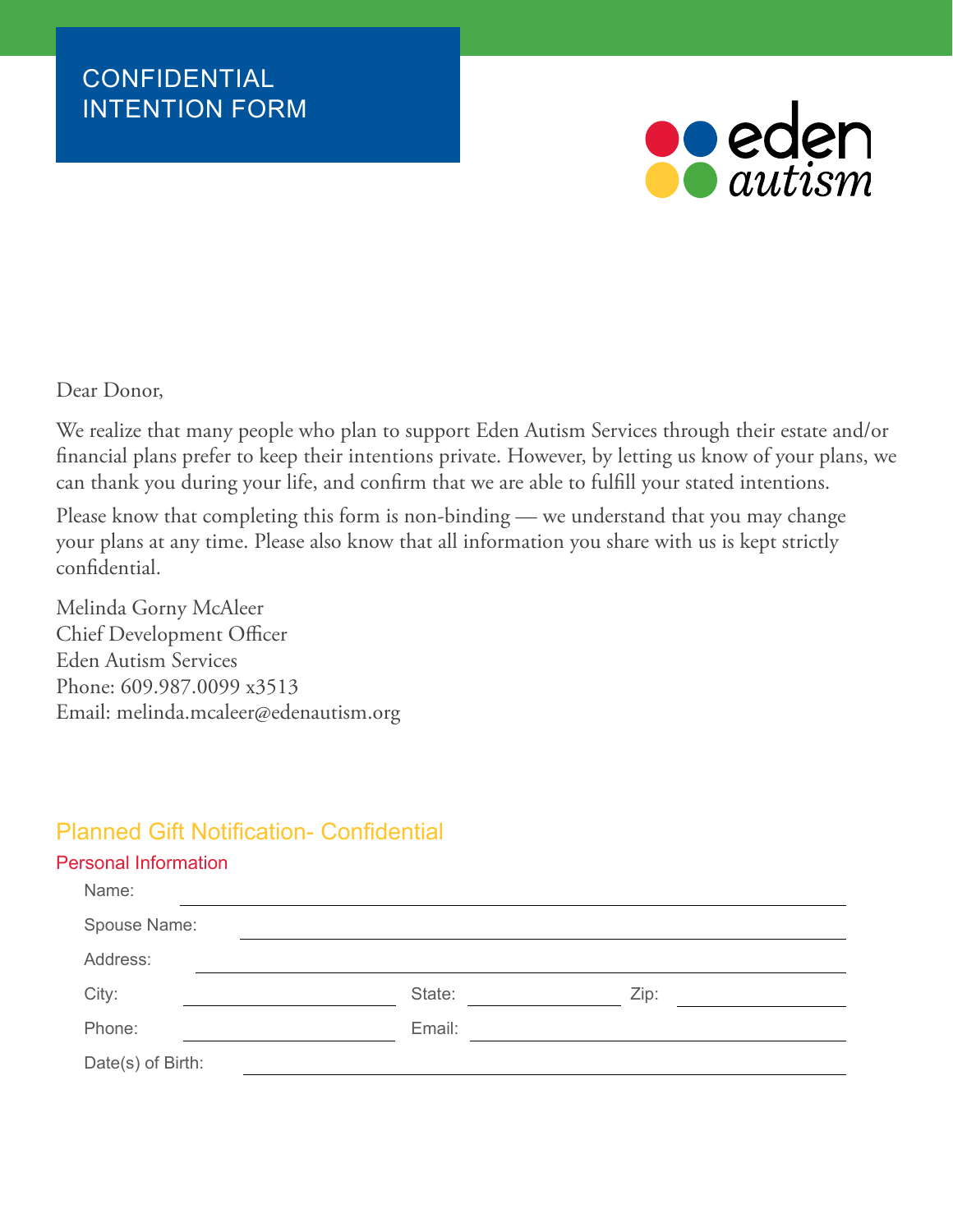

Dear Donor,

We realize that many people who plan to support Eden Autism Services through their estate and/or financial plans prefer to keep their intentions private. However, by letting us know of your plans, we can thank you during your life, and confirm that we are able to fulfill your stated intentions.

Please know that completing this form is non-binding — we understand that you may change your plans at any time. Please also know that all information you share with us is kept strictly confidential.

Melinda Gorny McAleer Chief Development Officer Eden Autism Services Phone: 609.987.0099 x3513 Email: melinda.mcaleer@edenautism.org

## Planned Gift Notification- Confidential

## Personal Information

| Name:             |        |      |  |
|-------------------|--------|------|--|
| Spouse Name:      |        |      |  |
| Address:          |        |      |  |
| City:             | State: | Zip: |  |
| Phone:            | Email: |      |  |
| Date(s) of Birth: |        |      |  |